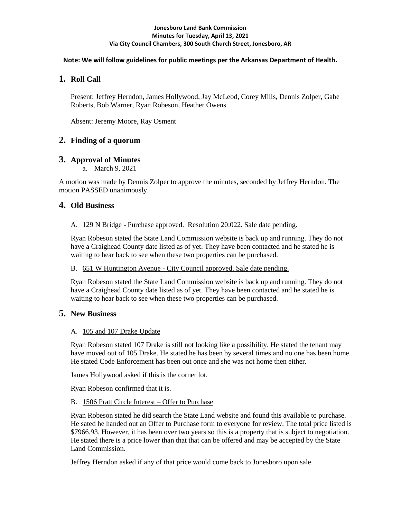#### **Jonesboro Land Bank Commission Minutes for Tuesday, April 13, 2021 Via City Council Chambers, 300 South Church Street, Jonesboro, AR**

### **Note: We will follow guidelines for public meetings per the Arkansas Department of Health.**

# **1. Roll Call**

Present: Jeffrey Herndon, James Hollywood, Jay McLeod, Corey Mills, Dennis Zolper, Gabe Roberts, Bob Warner, Ryan Robeson, Heather Owens

Absent: Jeremy Moore, Ray Osment

# **2. Finding of a quorum**

## **3. Approval of Minutes**

a. March 9, 2021

A motion was made by Dennis Zolper to approve the minutes, seconded by Jeffrey Herndon. The motion PASSED unanimously.

## **4. Old Business**

### A. 129 N Bridge - Purchase approved. Resolution 20:022. Sale date pending.

Ryan Robeson stated the State Land Commission website is back up and running. They do not have a Craighead County date listed as of yet. They have been contacted and he stated he is waiting to hear back to see when these two properties can be purchased.

### B. 651 W Huntington Avenue - City Council approved. Sale date pending.

Ryan Robeson stated the State Land Commission website is back up and running. They do not have a Craighead County date listed as of yet. They have been contacted and he stated he is waiting to hear back to see when these two properties can be purchased.

## **5. New Business**

## A. 105 and 107 Drake Update

Ryan Robeson stated 107 Drake is still not looking like a possibility. He stated the tenant may have moved out of 105 Drake. He stated he has been by several times and no one has been home. He stated Code Enforcement has been out once and she was not home then either.

James Hollywood asked if this is the corner lot.

Ryan Robeson confirmed that it is.

### B. 1506 Pratt Circle Interest – Offer to Purchase

Ryan Robeson stated he did search the State Land website and found this available to purchase. He sated he handed out an Offer to Purchase form to everyone for review. The total price listed is \$7966.93. However, it has been over two years so this is a property that is subject to negotiation. He stated there is a price lower than that that can be offered and may be accepted by the State Land Commission.

Jeffrey Herndon asked if any of that price would come back to Jonesboro upon sale.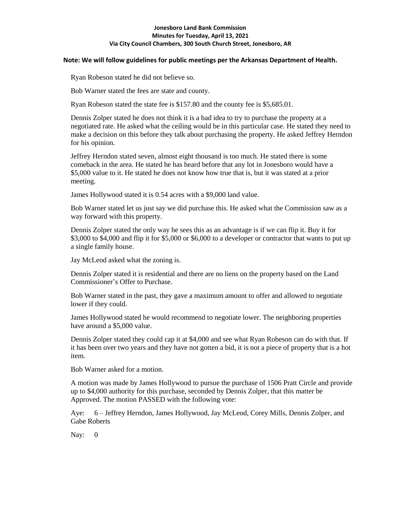#### **Jonesboro Land Bank Commission Minutes for Tuesday, April 13, 2021 Via City Council Chambers, 300 South Church Street, Jonesboro, AR**

#### **Note: We will follow guidelines for public meetings per the Arkansas Department of Health.**

Ryan Robeson stated he did not believe so.

Bob Warner stated the fees are state and county.

Ryan Robeson stated the state fee is \$157.80 and the county fee is \$5,685.01.

Dennis Zolper stated he does not think it is a bad idea to try to purchase the property at a negotiated rate. He asked what the ceiling would be in this particular case. He stated they need to make a decision on this before they talk about purchasing the property. He asked Jeffrey Herndon for his opinion.

Jeffrey Herndon stated seven, almost eight thousand is too much. He stated there is some comeback in the area. He stated he has heard before that any lot in Jonesboro would have a \$5,000 value to it. He stated he does not know how true that is, but it was stated at a prior meeting.

James Hollywood stated it is 0.54 acres with a \$9,000 land value.

Bob Warner stated let us just say we did purchase this. He asked what the Commission saw as a way forward with this property.

Dennis Zolper stated the only way he sees this as an advantage is if we can flip it. Buy it for \$3,000 to \$4,000 and flip it for \$5,000 or \$6,000 to a developer or contractor that wants to put up a single family house.

Jay McLeod asked what the zoning is.

Dennis Zolper stated it is residential and there are no liens on the property based on the Land Commissioner's Offer to Purchase.

Bob Warner stated in the past, they gave a maximum amount to offer and allowed to negotiate lower if they could.

James Hollywood stated he would recommend to negotiate lower. The neighboring properties have around a \$5,000 value.

Dennis Zolper stated they could cap it at \$4,000 and see what Ryan Robeson can do with that. If it has been over two years and they have not gotten a bid, it is not a piece of property that is a hot item.

Bob Warner asked for a motion.

A motion was made by James Hollywood to pursue the purchase of 1506 Pratt Circle and provide up to \$4,000 authority for this purchase, seconded by Dennis Zolper, that this matter be Approved. The motion PASSED with the following vote:

Aye: 6 – Jeffrey Herndon, James Hollywood, Jay McLeod, Corey Mills, Dennis Zolper, and Gabe Roberts

Nay: 0